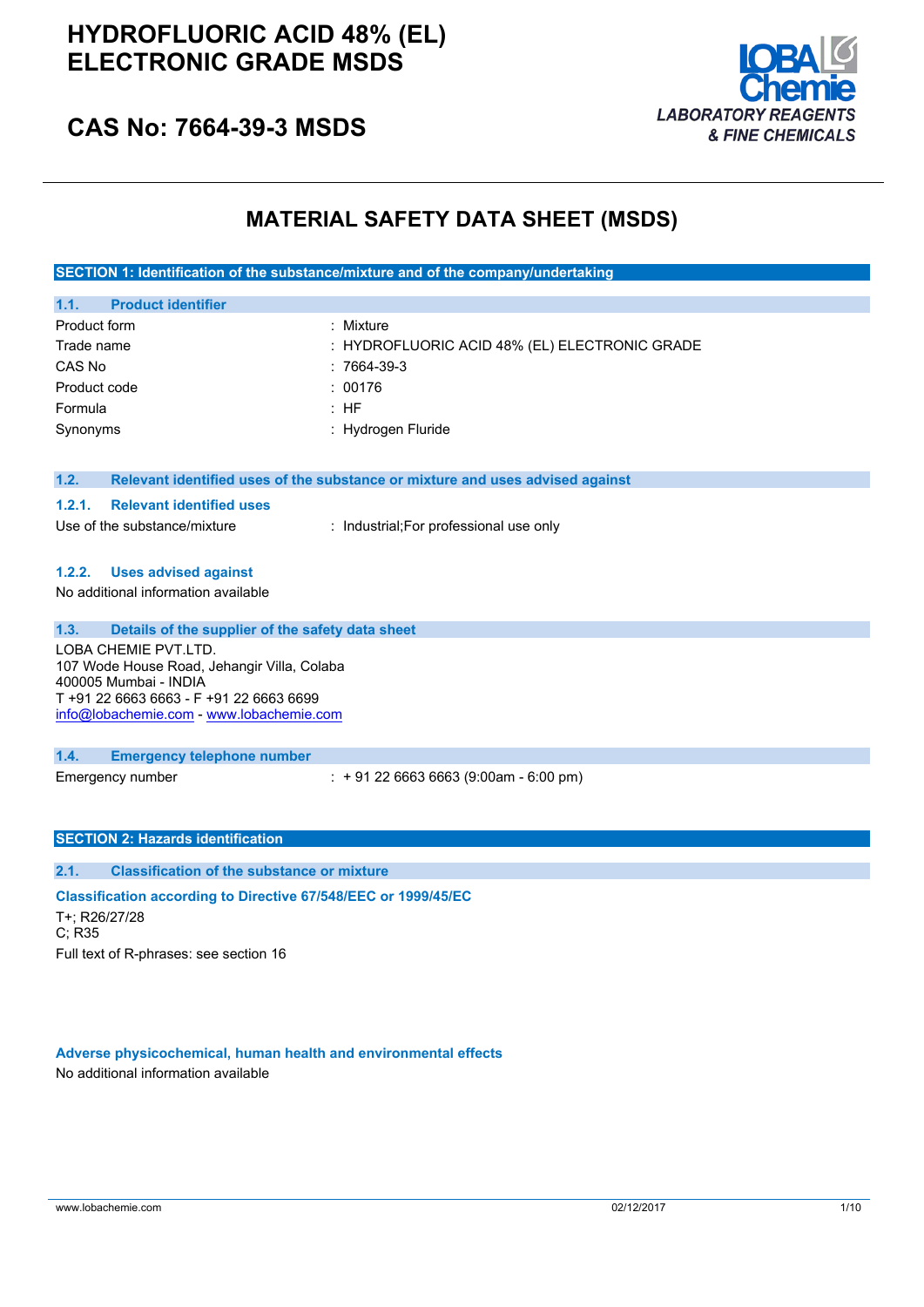

### **CAS No: 7664-39-3 MSDS**

### **MATERIAL SAFETY DATA SHEET (MSDS)**

**SECTION 1: Identification of the substance/mixture and of the company/undertaking**

| 1.1.<br><b>Product identifier</b> |                                               |
|-----------------------------------|-----------------------------------------------|
| Product form                      | : Mixture                                     |
| Trade name                        | : HYDROFLUORIC ACID 48% (EL) ELECTRONIC GRADE |
| CAS No                            | : 7664-39-3                                   |
| Product code                      | : 00176                                       |
| Formula                           | : HF                                          |
| Synonyms                          | : Hydrogen Fluride                            |

| 1.2. |  |  |  |  | Relevant identified uses of the substance or mixture and uses advised against |  |  |  |  |
|------|--|--|--|--|-------------------------------------------------------------------------------|--|--|--|--|
|------|--|--|--|--|-------------------------------------------------------------------------------|--|--|--|--|

#### **1.2.1. Relevant identified uses**

Use of the substance/mixture : Industrial;For professional use only

#### **1.2.2. Uses advised against**

No additional information available

#### **1.3. Details of the supplier of the safety data sheet**

LOBA CHEMIE PVT.LTD. 107 Wode House Road, Jehangir Villa, Colaba 400005 Mumbai - INDIA T +91 22 6663 6663 - F +91 22 6663 6699 [info@lobachemie.com](mailto:info@lobachemie.com) - <www.lobachemie.com>

#### **1.4. Emergency telephone number**

Emergency number : + 91 22 6663 6663 (9:00am - 6:00 pm)

#### **SECTION 2: Hazards identification**

#### **2.1. Classification of the substance or mixture**

**Classification according to Directive 67/548/EEC or 1999/45/EC** T+; R26/27/28 C; R35 Full text of R-phrases: see section 16

#### **Adverse physicochemical, human health and environmental effects**

No additional information available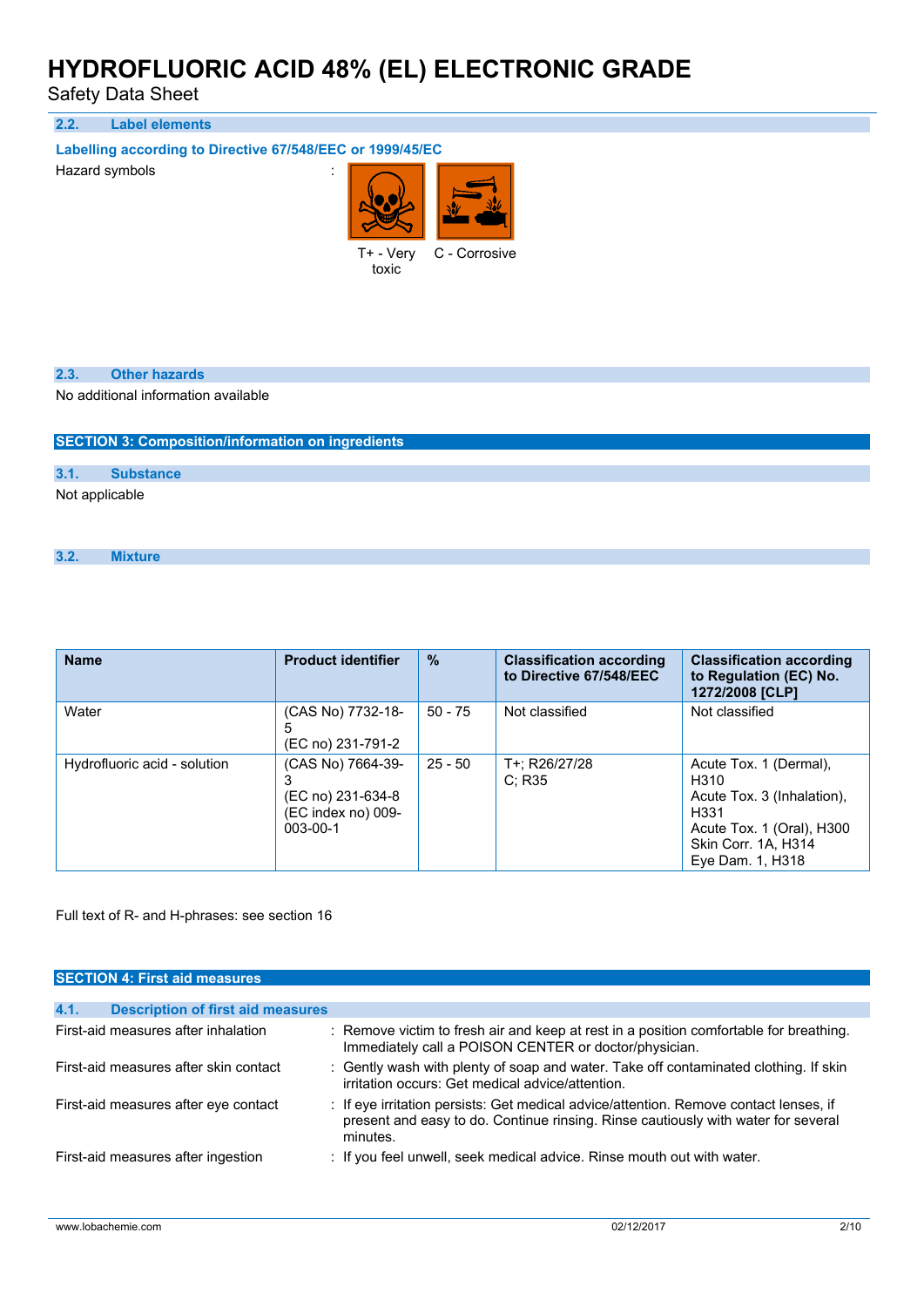Safety Data Sheet

**2.2. Label elements**

**Labelling according to Directive 67/548/EEC or 1999/45/EC**

Hazard symbols is a state of the state of the state of the state of the state of the state of the state of the state of the state of the state of the state of the state of the state of the state of the state of the state o



toxic

#### **2.3. Other hazards**

No additional information available

**SECTION 3: Composition/information on ingredients**

#### **3.1. Substance**

Not applicable

#### **3.2. Mixture**

| <b>Name</b>                  | <b>Product identifier</b>                                                      | $\frac{9}{6}$ | <b>Classification according</b><br>to Directive 67/548/EEC | <b>Classification according</b><br>to Regulation (EC) No.<br>1272/2008 [CLP]                                                                             |
|------------------------------|--------------------------------------------------------------------------------|---------------|------------------------------------------------------------|----------------------------------------------------------------------------------------------------------------------------------------------------------|
| Water                        | (CAS No) 7732-18-<br>5<br>(EC no) 231-791-2                                    | $50 - 75$     | Not classified                                             | Not classified                                                                                                                                           |
| Hydrofluoric acid - solution | (CAS No) 7664-39-<br>(EC no) 231-634-8<br>(EC index no) 009-<br>$003 - 00 - 1$ | $25 - 50$     | T+: R26/27/28<br>C: R35                                    | Acute Tox. 1 (Dermal),<br>H310<br>Acute Tox. 3 (Inhalation).<br>H <sub>331</sub><br>Acute Tox. 1 (Oral), H300<br>Skin Corr. 1A, H314<br>Eye Dam. 1, H318 |

Full text of R- and H-phrases: see section 16

| <b>SECTION 4: First aid measures</b>             |                                                                                                                                                                                        |
|--------------------------------------------------|----------------------------------------------------------------------------------------------------------------------------------------------------------------------------------------|
|                                                  |                                                                                                                                                                                        |
| 4.1.<br><b>Description of first aid measures</b> |                                                                                                                                                                                        |
| First-aid measures after inhalation              | : Remove victim to fresh air and keep at rest in a position comfortable for breathing.<br>Immediately call a POISON CENTER or doctor/physician.                                        |
| First-aid measures after skin contact            | : Gently wash with plenty of soap and water. Take off contaminated clothing. If skin<br>irritation occurs: Get medical advice/attention.                                               |
| First-aid measures after eye contact             | : If eye irritation persists: Get medical advice/attention. Remove contact lenses, if<br>present and easy to do. Continue rinsing. Rinse cautiously with water for several<br>minutes. |
| First-aid measures after ingestion               | : If you feel unwell, seek medical advice. Rinse mouth out with water.                                                                                                                 |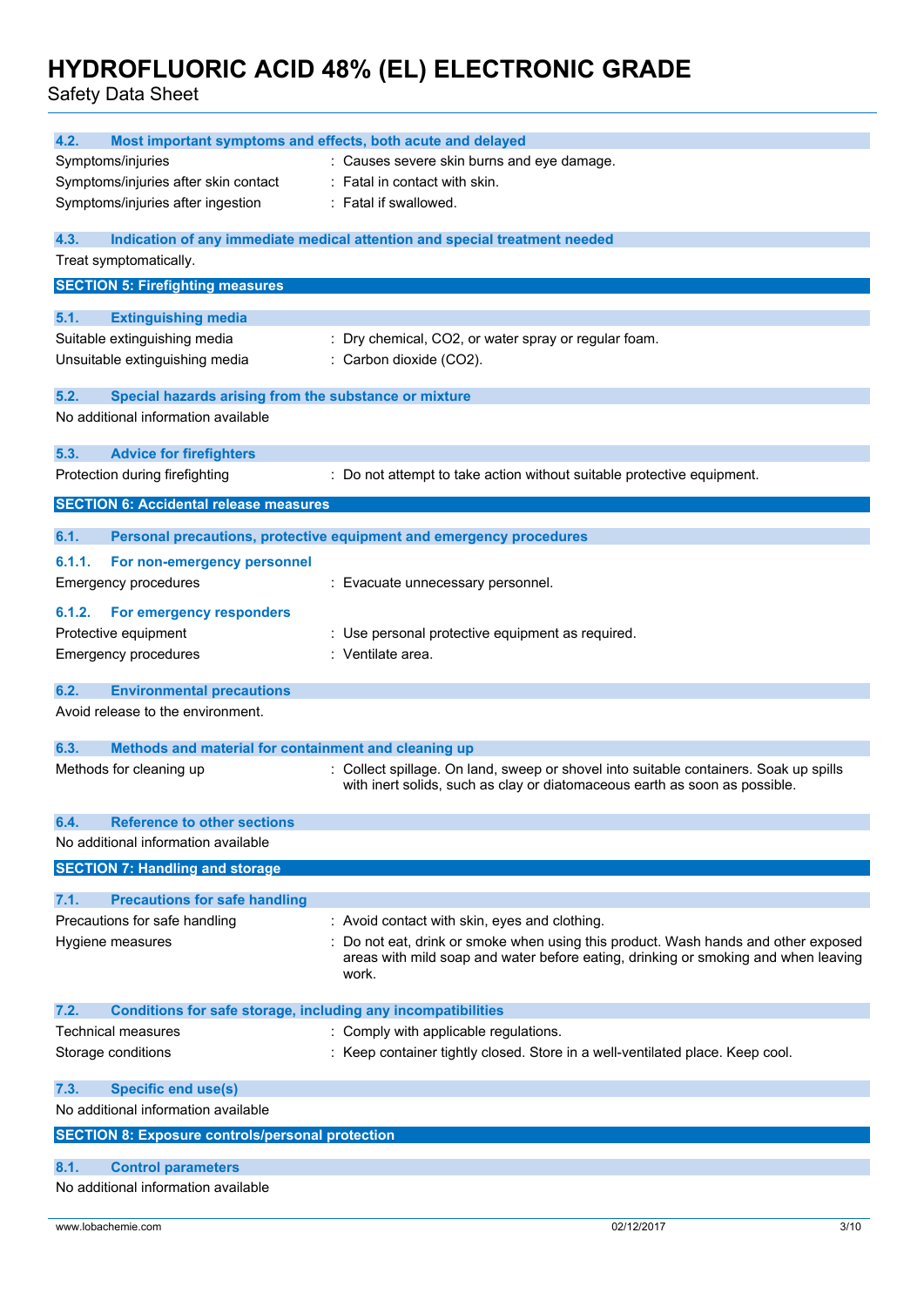| 4.2.<br>Most important symptoms and effects, both acute and delayed         |                                                                                                                                                                                 |
|-----------------------------------------------------------------------------|---------------------------------------------------------------------------------------------------------------------------------------------------------------------------------|
| Symptoms/injuries                                                           | : Causes severe skin burns and eye damage.                                                                                                                                      |
| Symptoms/injuries after skin contact                                        | : Fatal in contact with skin.                                                                                                                                                   |
| Symptoms/injuries after ingestion                                           | : Fatal if swallowed.                                                                                                                                                           |
| 4.3.                                                                        | Indication of any immediate medical attention and special treatment needed                                                                                                      |
| Treat symptomatically.                                                      |                                                                                                                                                                                 |
| <b>SECTION 5: Firefighting measures</b>                                     |                                                                                                                                                                                 |
| 5.1.<br><b>Extinguishing media</b>                                          |                                                                                                                                                                                 |
| Suitable extinguishing media                                                | : Dry chemical, CO2, or water spray or regular foam.                                                                                                                            |
| Unsuitable extinguishing media                                              | : Carbon dioxide (CO2).                                                                                                                                                         |
| 5.2.<br>Special hazards arising from the substance or mixture               |                                                                                                                                                                                 |
| No additional information available                                         |                                                                                                                                                                                 |
| 5.3.<br><b>Advice for firefighters</b>                                      |                                                                                                                                                                                 |
| Protection during firefighting                                              | : Do not attempt to take action without suitable protective equipment.                                                                                                          |
| <b>SECTION 6: Accidental release measures</b>                               |                                                                                                                                                                                 |
| 6.1.                                                                        | Personal precautions, protective equipment and emergency procedures                                                                                                             |
| 6.1.1.<br>For non-emergency personnel                                       |                                                                                                                                                                                 |
| <b>Emergency procedures</b>                                                 | : Evacuate unnecessary personnel.                                                                                                                                               |
| For emergency responders<br>6.1.2.                                          |                                                                                                                                                                                 |
| Protective equipment                                                        | : Use personal protective equipment as required.                                                                                                                                |
| <b>Emergency procedures</b>                                                 | : Ventilate area.                                                                                                                                                               |
| 6.2.<br><b>Environmental precautions</b>                                    |                                                                                                                                                                                 |
| Avoid release to the environment.                                           |                                                                                                                                                                                 |
| 6.3.<br>Methods and material for containment and cleaning up                |                                                                                                                                                                                 |
| Methods for cleaning up                                                     | : Collect spillage. On land, sweep or shovel into suitable containers. Soak up spills                                                                                           |
|                                                                             | with inert solids, such as clay or diatomaceous earth as soon as possible.                                                                                                      |
| 6.4<br><b>Reference to other sections</b>                                   |                                                                                                                                                                                 |
| No additional information available                                         |                                                                                                                                                                                 |
| <b>SECTION 7: Handling and storage</b>                                      |                                                                                                                                                                                 |
| 7.1.<br><b>Precautions for safe handling</b>                                |                                                                                                                                                                                 |
| Precautions for safe handling                                               | : Avoid contact with skin, eyes and clothing.                                                                                                                                   |
| Hygiene measures                                                            | Do not eat, drink or smoke when using this product. Wash hands and other exposed<br>areas with mild soap and water before eating, drinking or smoking and when leaving<br>work. |
| <b>Conditions for safe storage, including any incompatibilities</b><br>7.2. |                                                                                                                                                                                 |
| Technical measures                                                          | : Comply with applicable regulations.                                                                                                                                           |
| Storage conditions                                                          | : Keep container tightly closed. Store in a well-ventilated place. Keep cool.                                                                                                   |
| 7.3.<br><b>Specific end use(s)</b>                                          |                                                                                                                                                                                 |
| No additional information available                                         |                                                                                                                                                                                 |
| <b>SECTION 8: Exposure controls/personal protection</b>                     |                                                                                                                                                                                 |
| 8.1.<br><b>Control parameters</b>                                           |                                                                                                                                                                                 |
| No additional information available                                         |                                                                                                                                                                                 |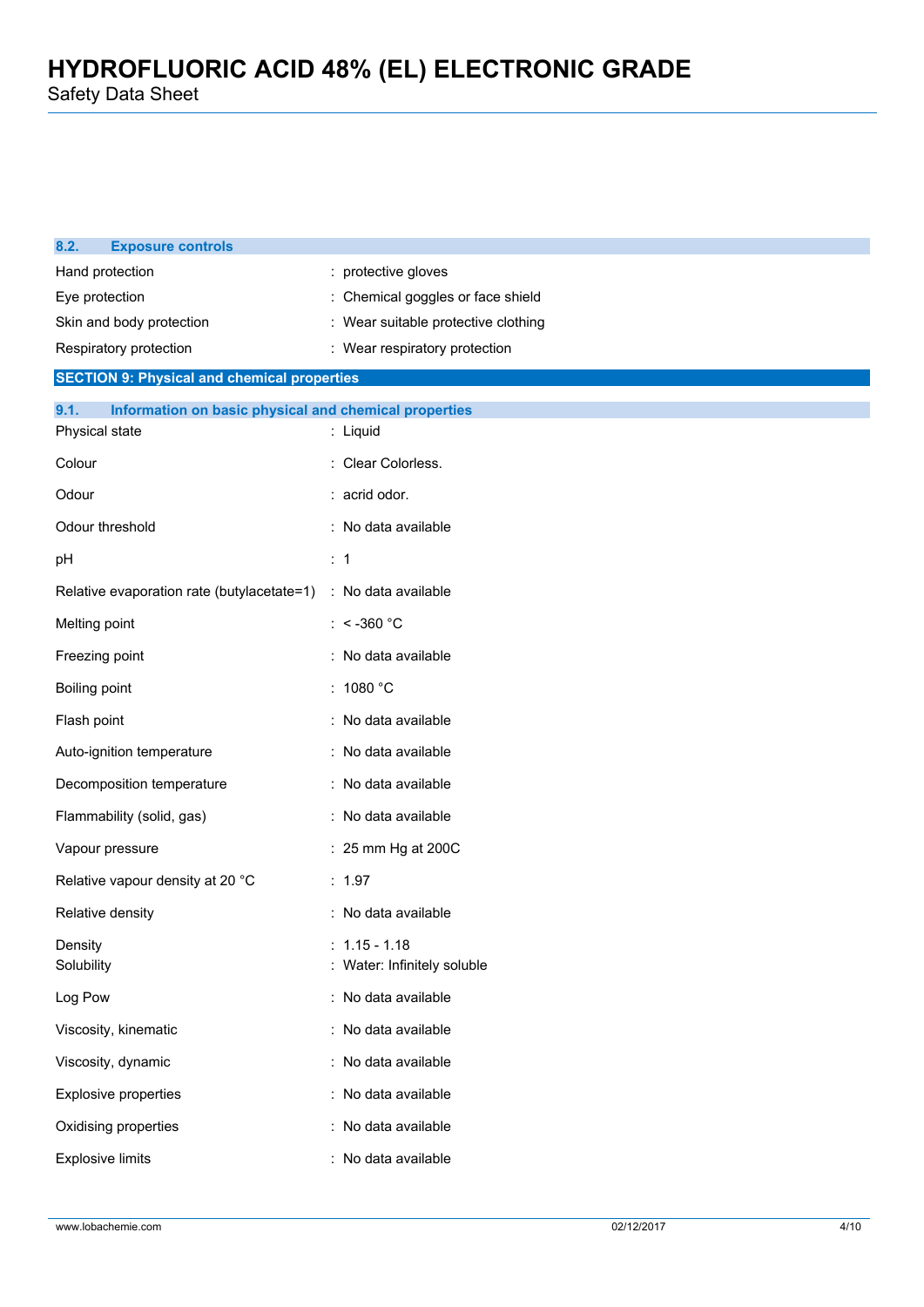| 8.2.<br><b>Exposure controls</b>                              |                                              |
|---------------------------------------------------------------|----------------------------------------------|
| Hand protection                                               | protective gloves                            |
| Eye protection                                                | Chemical goggles or face shield              |
| Skin and body protection                                      | Wear suitable protective clothing            |
| Respiratory protection                                        | : Wear respiratory protection                |
| <b>SECTION 9: Physical and chemical properties</b>            |                                              |
| Information on basic physical and chemical properties<br>9.1. |                                              |
| Physical state                                                | : Liquid                                     |
| Colour                                                        | Clear Colorless.                             |
| Odour                                                         | : acrid odor.                                |
| Odour threshold                                               | : No data available                          |
| рH                                                            | $\therefore$ 1                               |
| Relative evaporation rate (butylacetate=1)                    | : No data available                          |
| Melting point                                                 | : < -360 $^{\circ}$ C                        |
| Freezing point                                                | : No data available                          |
| Boiling point                                                 | : $1080 °C$                                  |
| Flash point                                                   | : No data available                          |
| Auto-ignition temperature                                     | : No data available                          |
| Decomposition temperature                                     | : No data available                          |
| Flammability (solid, gas)                                     | : No data available                          |
| Vapour pressure                                               | : 25 mm Hg at 200C                           |
| Relative vapour density at 20 °C                              | : 1.97                                       |
| Relative density                                              | : No data available                          |
| Density<br>Solubility                                         | $: 1.15 - 1.18$<br>Water: Infinitely soluble |
| Log Pow                                                       | : No data available                          |
| Viscosity, kinematic                                          | : No data available                          |
| Viscosity, dynamic                                            | : No data available                          |
| <b>Explosive properties</b>                                   | : No data available                          |
| Oxidising properties                                          | : No data available                          |
| <b>Explosive limits</b>                                       | : No data available                          |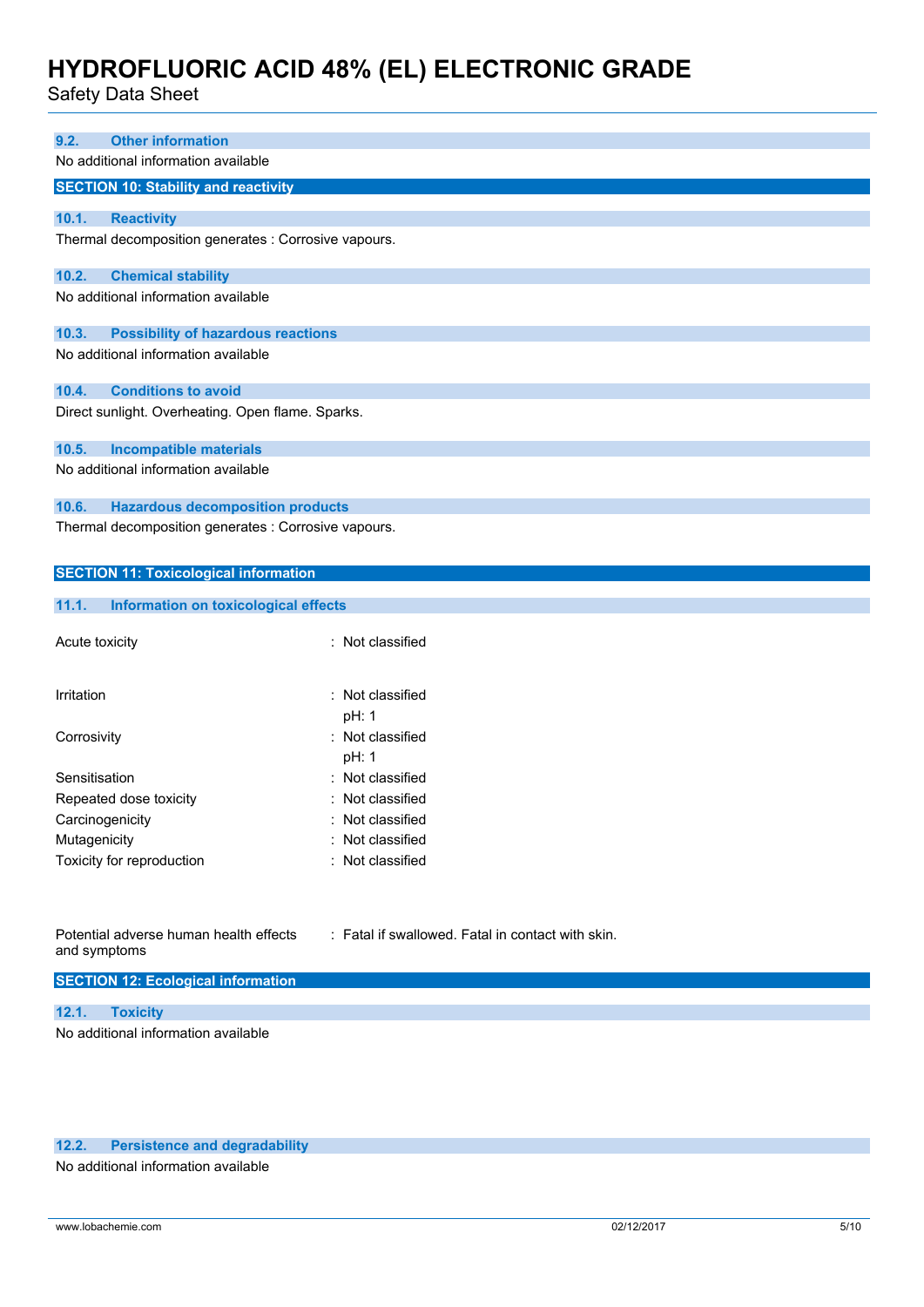Safety Data Sheet

| 9.2.           | <b>Other information</b>                             |                  |  |  |  |
|----------------|------------------------------------------------------|------------------|--|--|--|
|                | No additional information available                  |                  |  |  |  |
|                | <b>SECTION 10: Stability and reactivity</b>          |                  |  |  |  |
|                |                                                      |                  |  |  |  |
| 10.1.          | <b>Reactivity</b>                                    |                  |  |  |  |
|                | Thermal decomposition generates : Corrosive vapours. |                  |  |  |  |
| 10.2.          | <b>Chemical stability</b>                            |                  |  |  |  |
|                | No additional information available                  |                  |  |  |  |
| 10.3.          | <b>Possibility of hazardous reactions</b>            |                  |  |  |  |
|                | No additional information available                  |                  |  |  |  |
| 10.4.          | <b>Conditions to avoid</b>                           |                  |  |  |  |
|                | Direct sunlight. Overheating. Open flame. Sparks.    |                  |  |  |  |
| 10.5.          | <b>Incompatible materials</b>                        |                  |  |  |  |
|                | No additional information available                  |                  |  |  |  |
| 10.6.          | <b>Hazardous decomposition products</b>              |                  |  |  |  |
|                | Thermal decomposition generates : Corrosive vapours. |                  |  |  |  |
|                |                                                      |                  |  |  |  |
|                | <b>SECTION 11: Toxicological information</b>         |                  |  |  |  |
|                |                                                      |                  |  |  |  |
| 11.1.          | <b>Information on toxicological effects</b>          |                  |  |  |  |
|                |                                                      |                  |  |  |  |
| Acute toxicity |                                                      | : Not classified |  |  |  |
|                |                                                      |                  |  |  |  |
| Irritation     |                                                      | Not classified   |  |  |  |
|                |                                                      | pH: 1            |  |  |  |
|                |                                                      | Not classified   |  |  |  |
| Corrosivity    |                                                      | pH: 1            |  |  |  |
|                |                                                      |                  |  |  |  |

| : Not classified |
|------------------|
| : Not classified |
| : Not classified |
| : Not classified |
| : Not classified |
|                  |

| Potential adverse human health effects |  |
|----------------------------------------|--|
| and symptoms                           |  |

: Fatal if swallowed. Fatal in contact with skin.

#### **SECTION 12: Ecological information**

**12.1. Toxicity** No additional information available

#### **12.2. Persistence and degradability**

No additional information available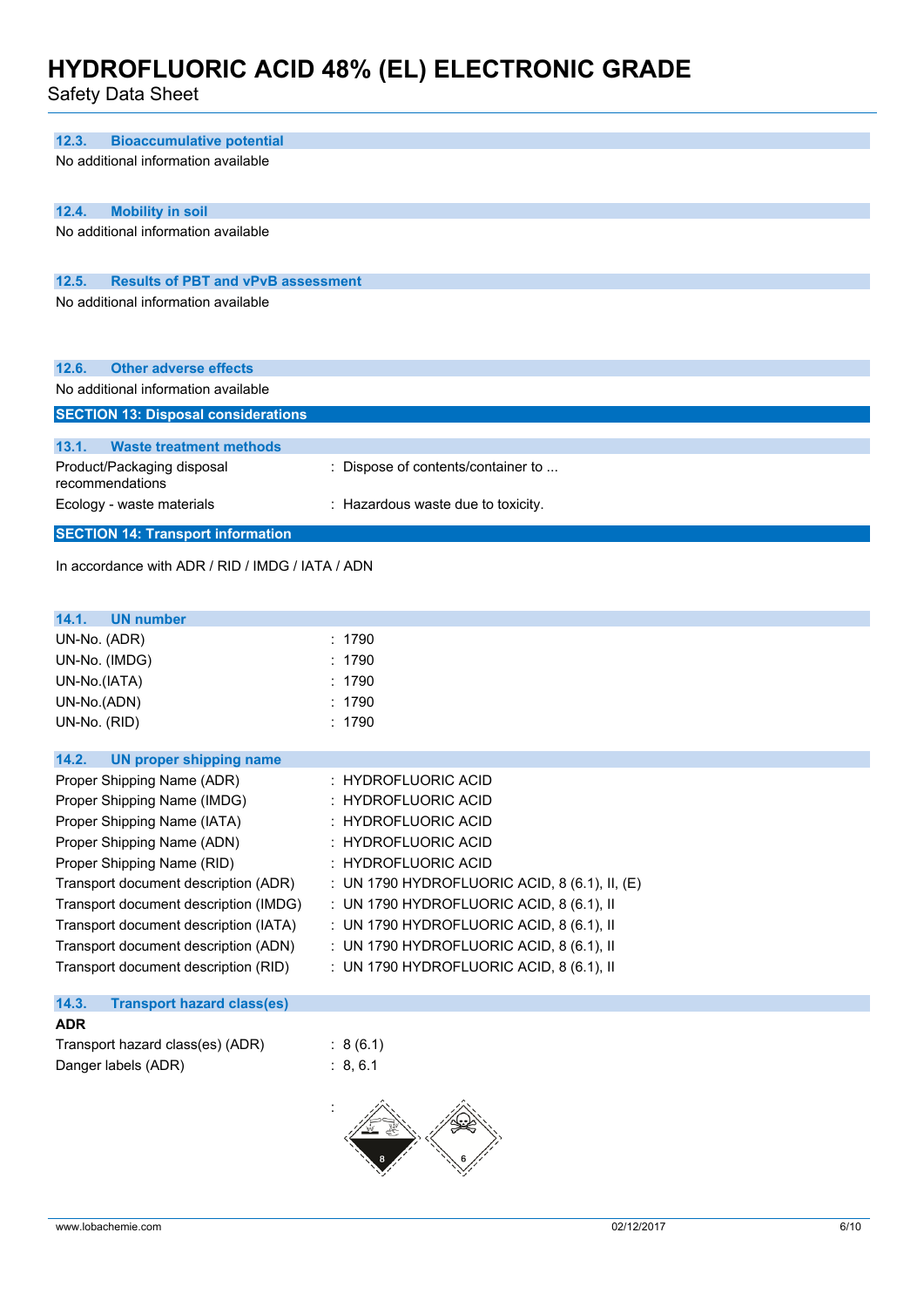| 12.3.<br><b>Bioaccumulative potential</b>          |                                               |
|----------------------------------------------------|-----------------------------------------------|
| No additional information available                |                                               |
| 12.4.<br><b>Mobility in soil</b>                   |                                               |
| No additional information available                |                                               |
| 12.5.<br><b>Results of PBT and vPvB assessment</b> |                                               |
| No additional information available                |                                               |
| 12.6.<br><b>Other adverse effects</b>              |                                               |
| No additional information available                |                                               |
| <b>SECTION 13: Disposal considerations</b>         |                                               |
|                                                    |                                               |
| 13.1.<br><b>Waste treatment methods</b>            |                                               |
| Product/Packaging disposal<br>recommendations      | : Dispose of contents/container to            |
| Ecology - waste materials                          | : Hazardous waste due to toxicity.            |
| <b>SECTION 14: Transport information</b>           |                                               |
| In accordance with ADR / RID / IMDG / IATA / ADN   |                                               |
| 14.1.<br><b>UN number</b>                          |                                               |
| UN-No. (ADR)                                       | : 1790                                        |
| UN-No. (IMDG)                                      | 1790                                          |
| UN-No.(IATA)                                       | : 1790                                        |
| UN-No.(ADN)                                        | 1790                                          |
| UN-No. (RID)                                       | : 1790                                        |
| 14.2.<br><b>UN proper shipping name</b>            |                                               |
| Proper Shipping Name (ADR)                         | : HYDROFLUORIC ACID                           |
| Proper Shipping Name (IMDG)                        | : HYDROFLUORIC ACID                           |
| Proper Shipping Name (IATA)                        | <b>HYDROFLUORIC ACID</b>                      |
| Proper Shipping Name (ADN)                         | <b>HYDROFLUORIC ACID</b>                      |
| Proper Shipping Name (RID)                         | : HYDROFLUORIC ACID                           |
| Transport document description (ADR)               | : UN 1790 HYDROFLUORIC ACID, 8 (6.1), II, (E) |
| Transport document description (IMDG)              | : UN 1790 HYDROFLUORIC ACID, 8 (6.1), II      |
| Transport document description (IATA)              | : UN 1790 HYDROFLUORIC ACID, 8 (6.1), II      |
| Transport document description (ADN)               | : UN 1790 HYDROFLUORIC ACID, 8 (6.1), II      |
| Transport document description (RID)               | : UN 1790 HYDROFLUORIC ACID, 8 (6.1), II      |
| 14.3.<br><b>Transport hazard class(es)</b>         |                                               |
| <b>ADR</b>                                         |                                               |
| Transport hazard class(es) (ADR)                   | : 8(6.1)                                      |
| Danger labels (ADR)                                | : 8, 6.1                                      |
|                                                    |                                               |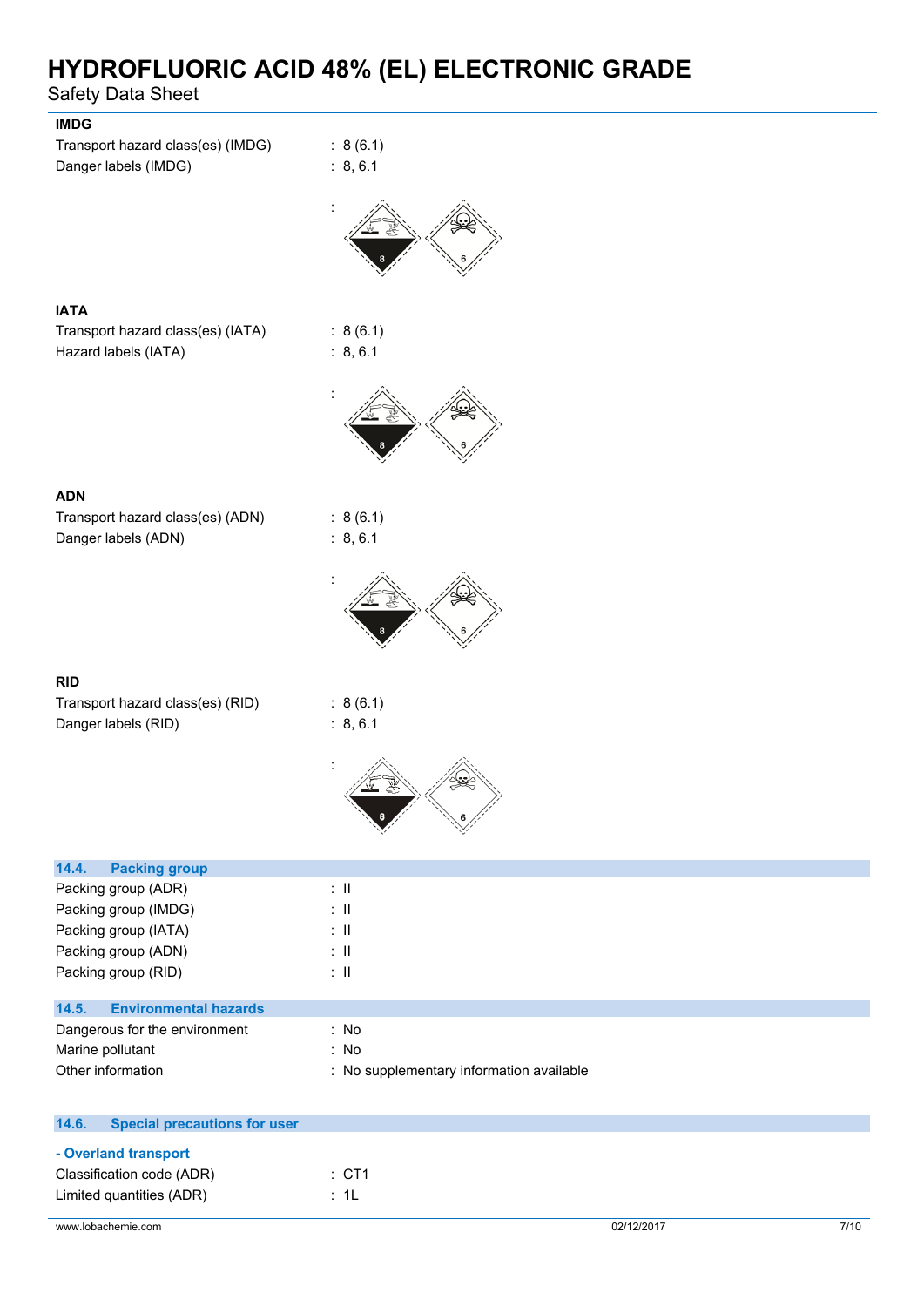| <b>IMDG</b><br>Transport hazard class(es) (IMDG)<br>Danger labels (IMDG) | : 8(6.1)<br>: 8, 6.1                     |
|--------------------------------------------------------------------------|------------------------------------------|
|                                                                          |                                          |
|                                                                          |                                          |
| <b>IATA</b><br>Transport hazard class(es) (IATA)<br>Hazard labels (IATA) | : 8(6.1)<br>: 8, 6.1                     |
|                                                                          |                                          |
|                                                                          |                                          |
| <b>ADN</b><br>Transport hazard class(es) (ADN)<br>Danger labels (ADN)    | : 8(6.1)<br>: 8, 6.1                     |
|                                                                          |                                          |
|                                                                          |                                          |
| <b>RID</b>                                                               |                                          |
| Transport hazard class(es) (RID)<br>Danger labels (RID)                  | : 8(6.1)                                 |
|                                                                          | : 8, 6.1                                 |
|                                                                          | 6                                        |
|                                                                          |                                          |
| 14.4.<br><b>Packing group</b>                                            |                                          |
| Packing group (ADR)                                                      | $\therefore$ H                           |
| Packing group (IMDG)<br>Packing group (IATA)                             | $\therefore$ II<br>$\pm$ 11              |
| Packing group (ADN)                                                      | $\therefore$ H                           |
| Packing group (RID)                                                      | $\therefore$ H                           |
|                                                                          |                                          |
| <b>Environmental hazards</b><br>14.5.<br>Dangerous for the environment   | : No                                     |
| Marine pollutant                                                         | : No                                     |
| Other information                                                        | : No supplementary information available |
|                                                                          |                                          |
| <b>Special precautions for user</b><br>14.6.                             |                                          |

| - Overland transport      |          |
|---------------------------|----------|
| Classification code (ADR) | : CT1    |
| Limited quantities (ADR)  | $\pm$ 11 |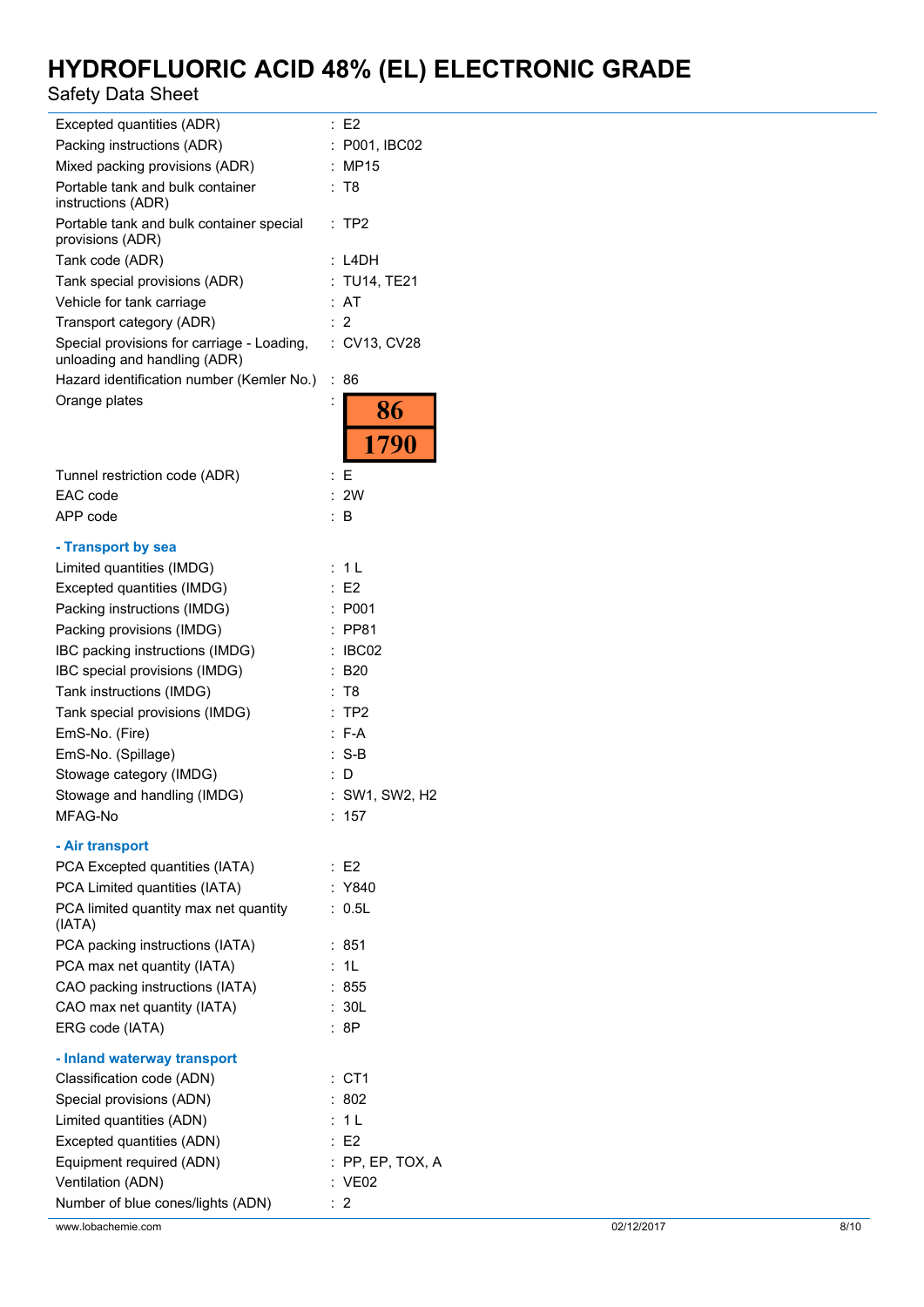| Excepted quantities (ADR)                                                  | $\therefore$ E2    |            |      |
|----------------------------------------------------------------------------|--------------------|------------|------|
| Packing instructions (ADR)                                                 | : P001, IBC02      |            |      |
| Mixed packing provisions (ADR)                                             | : MP15             |            |      |
| Portable tank and bulk container<br>instructions (ADR)                     | : T8               |            |      |
| Portable tank and bulk container special<br>provisions (ADR)               | :TP2               |            |      |
| Tank code (ADR)                                                            | $:$ L4DH           |            |      |
| Tank special provisions (ADR)                                              | : TU14, TE21       |            |      |
| Vehicle for tank carriage                                                  | : AT               |            |      |
| Transport category (ADR)                                                   | $\therefore$ 2     |            |      |
| Special provisions for carriage - Loading,<br>unloading and handling (ADR) | : CV13, CV28       |            |      |
| Hazard identification number (Kemler No.)                                  | :86                |            |      |
| Orange plates                                                              | 86<br>1790         |            |      |
| Tunnel restriction code (ADR)                                              | E                  |            |      |
| EAC code                                                                   | : 2W               |            |      |
| APP code                                                                   | $\therefore$ B     |            |      |
| - Transport by sea                                                         |                    |            |      |
| Limited quantities (IMDG)                                                  | : 1L               |            |      |
| Excepted quantities (IMDG)                                                 | $\therefore$ E2    |            |      |
| Packing instructions (IMDG)                                                | : P001             |            |      |
| Packing provisions (IMDG)                                                  | : PP81             |            |      |
| IBC packing instructions (IMDG)                                            | : IBCO2            |            |      |
| IBC special provisions (IMDG)                                              | $\therefore$ B20   |            |      |
| Tank instructions (IMDG)                                                   | : T8               |            |      |
| Tank special provisions (IMDG)                                             | $:$ TP2            |            |      |
| EmS-No. (Fire)                                                             | $: F-A$            |            |      |
| EmS-No. (Spillage)                                                         | $: S-B$            |            |      |
| Stowage category (IMDG)                                                    | $\therefore$ D     |            |      |
| Stowage and handling (IMDG)                                                | : SW1, SW2, H2     |            |      |
| MFAG-No                                                                    | : 157              |            |      |
|                                                                            |                    |            |      |
| - Air transport                                                            |                    |            |      |
| PCA Excepted quantities (IATA)                                             | $\therefore$ E2    |            |      |
| PCA Limited quantities (IATA)                                              | : Y840             |            |      |
| PCA limited quantity max net quantity<br>(IATA)                            | : 0.5L             |            |      |
| PCA packing instructions (IATA)                                            | : 851              |            |      |
| PCA max net quantity (IATA)                                                | : 1L               |            |      |
| CAO packing instructions (IATA)                                            | : 855              |            |      |
| CAO max net quantity (IATA)<br>ERG code (IATA)                             | : 30L<br>:8P       |            |      |
| - Inland waterway transport                                                |                    |            |      |
| Classification code (ADN)                                                  | $:$ CT1            |            |      |
| Special provisions (ADN)                                                   | : 802              |            |      |
| Limited quantities (ADN)                                                   | : 1L               |            |      |
| Excepted quantities (ADN)                                                  | $\therefore$ E2    |            |      |
| Equipment required (ADN)                                                   | $:$ PP, EP, TOX, A |            |      |
| Ventilation (ADN)                                                          | : VE02             |            |      |
| Number of blue cones/lights (ADN)                                          | $\therefore$ 2     |            |      |
| www.lobachemie.com                                                         |                    | 02/12/2017 | 8/10 |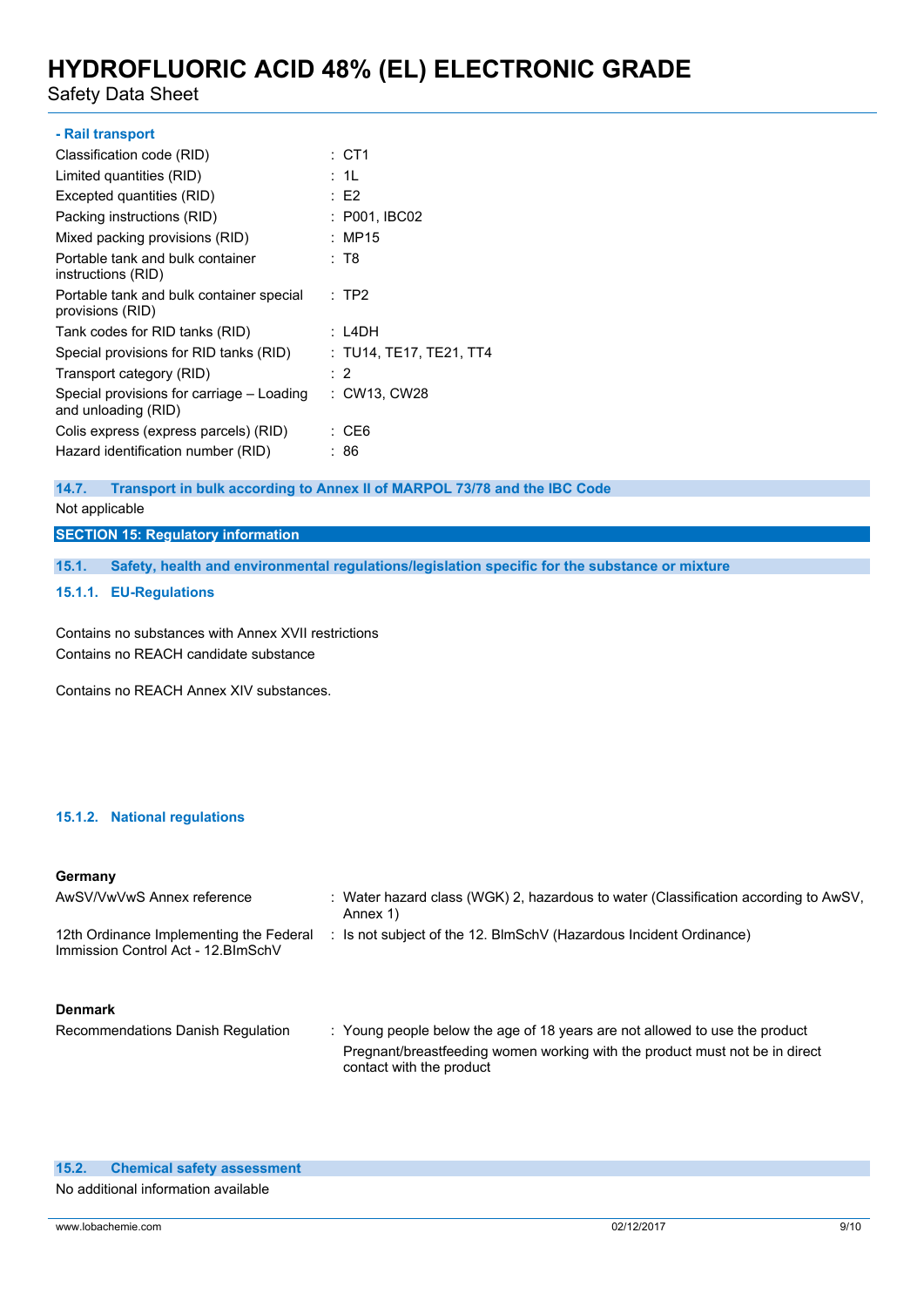Safety Data Sheet

| : CT1                                                     |
|-----------------------------------------------------------|
| : 1L                                                      |
| : E2                                                      |
| : P001, IBC02                                             |
| : MP15                                                    |
| : T8                                                      |
| $:$ TP2                                                   |
| : L4DH                                                    |
| : TU14, TE17, TE21, TT4                                   |
| : 2                                                       |
| Special provisions for carriage – Loading<br>: CW13, CW28 |
| : CE6                                                     |
| :86                                                       |
|                                                           |

#### **14.7. Transport in bulk according to Annex II of MARPOL 73/78 and the IBC Code**

#### Not applicable

**SECTION 15: Regulatory information**

**15.1. Safety, health and environmental regulations/legislation specific for the substance or mixture**

#### **15.1.1. EU-Regulations**

Contains no substances with Annex XVII restrictions Contains no REACH candidate substance

Contains no REACH Annex XIV substances.

#### **15.1.2. National regulations**

#### **Germany**

| AwSV/VwVwS Annex reference                                                     | : Water hazard class (WGK) 2, hazardous to water (Classification according to AwSV,<br>Annex 1) |
|--------------------------------------------------------------------------------|-------------------------------------------------------------------------------------------------|
| 12th Ordinance Implementing the Federal<br>Immission Control Act - 12. BlmSchV | : Is not subject of the 12. BlmSchV (Hazardous Incident Ordinance)                              |
| <b>Denmark</b>                                                                 |                                                                                                 |

Recommendations Danish Regulation : Young people below the age of 18 years are not allowed to use the product Pregnant/breastfeeding women working with the product must not be in direct contact with the product